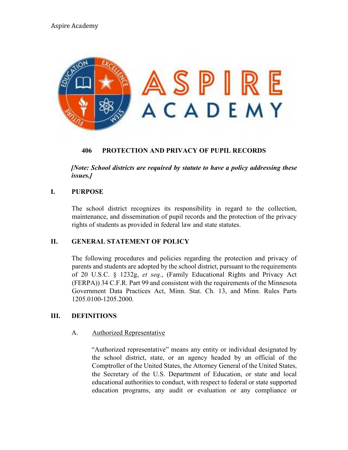

## **406 PROTECTION AND PRIVACY OF PUPIL RECORDS**

*[Note: School districts are required by statute to have a policy addressing these issues.]*

## **I. PURPOSE**

The school district recognizes its responsibility in regard to the collection, maintenance, and dissemination of pupil records and the protection of the privacy rights of students as provided in federal law and state statutes.

# **II. GENERAL STATEMENT OF POLICY**

The following procedures and policies regarding the protection and privacy of parents and students are adopted by the school district, pursuant to the requirements of 20 U.S.C. § 1232g, *et seq.*, (Family Educational Rights and Privacy Act (FERPA)) 34 C.F.R. Part 99 and consistent with the requirements of the Minnesota Government Data Practices Act, Minn. Stat. Ch. 13, and Minn. Rules Parts 1205.0100-1205.2000.

### **III. DEFINITIONS**

### A. Authorized Representative

"Authorized representative" means any entity or individual designated by the school district, state, or an agency headed by an official of the Comptroller of the United States, the Attorney General of the United States, the Secretary of the U.S. Department of Education, or state and local educational authorities to conduct, with respect to federal or state supported education programs, any audit or evaluation or any compliance or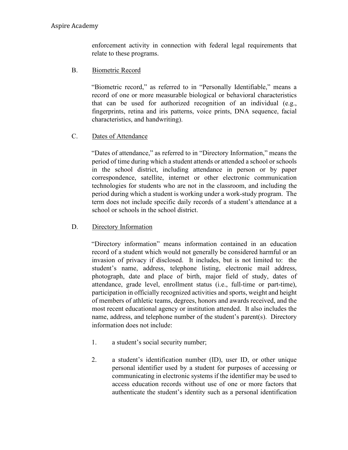### Aspire Academy

enforcement activity in connection with federal legal requirements that relate to these programs.

## B. Biometric Record

"Biometric record," as referred to in "Personally Identifiable," means a record of one or more measurable biological or behavioral characteristics that can be used for authorized recognition of an individual (e.g., fingerprints, retina and iris patterns, voice prints, DNA sequence, facial characteristics, and handwriting).

## C. Dates of Attendance

"Dates of attendance," as referred to in "Directory Information," means the period of time during which a student attends or attended a school or schools in the school district, including attendance in person or by paper correspondence, satellite, internet or other electronic communication technologies for students who are not in the classroom, and including the period during which a student is working under a work-study program. The term does not include specific daily records of a student's attendance at a school or schools in the school district.

## D. Directory Information

"Directory information" means information contained in an education record of a student which would not generally be considered harmful or an invasion of privacy if disclosed. It includes, but is not limited to: the student's name, address, telephone listing, electronic mail address, photograph, date and place of birth, major field of study, dates of attendance, grade level, enrollment status (i.e., full-time or part-time), participation in officially recognized activities and sports, weight and height of members of athletic teams, degrees, honors and awards received, and the most recent educational agency or institution attended. It also includes the name, address, and telephone number of the student's parent(s). Directory information does not include:

- 1. a student's social security number;
- 2. a student's identification number (ID), user ID, or other unique personal identifier used by a student for purposes of accessing or communicating in electronic systems if the identifier may be used to access education records without use of one or more factors that authenticate the student's identity such as a personal identification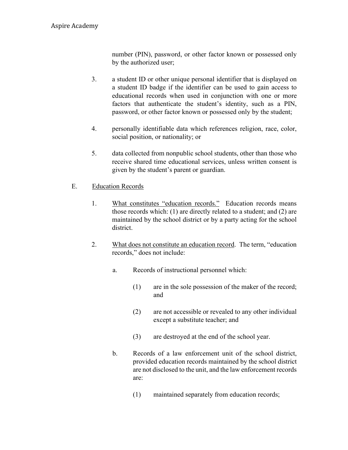number (PIN), password, or other factor known or possessed only by the authorized user;

- 3. a student ID or other unique personal identifier that is displayed on a student ID badge if the identifier can be used to gain access to educational records when used in conjunction with one or more factors that authenticate the student's identity, such as a PIN, password, or other factor known or possessed only by the student;
- 4. personally identifiable data which references religion, race, color, social position, or nationality; or
- 5. data collected from nonpublic school students, other than those who receive shared time educational services, unless written consent is given by the student's parent or guardian.
- E. Education Records
	- 1. What constitutes "education records." Education records means those records which: (1) are directly related to a student; and (2) are maintained by the school district or by a party acting for the school district.
	- 2. What does not constitute an education record. The term, "education records," does not include:
		- a. Records of instructional personnel which:
			- (1) are in the sole possession of the maker of the record; and
			- (2) are not accessible or revealed to any other individual except a substitute teacher; and
			- (3) are destroyed at the end of the school year.
		- b. Records of a law enforcement unit of the school district, provided education records maintained by the school district are not disclosed to the unit, and the law enforcement records are:
			- (1) maintained separately from education records;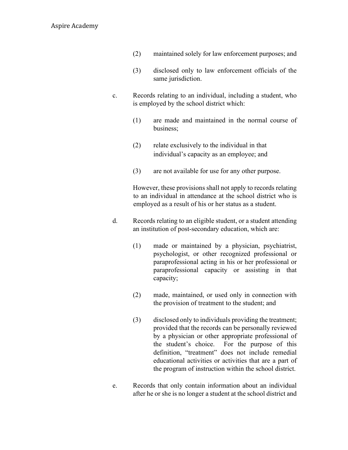- (2) maintained solely for law enforcement purposes; and
- (3) disclosed only to law enforcement officials of the same jurisdiction.
- c. Records relating to an individual, including a student, who is employed by the school district which:
	- (1) are made and maintained in the normal course of business;
	- (2) relate exclusively to the individual in that individual's capacity as an employee; and
	- (3) are not available for use for any other purpose.

However, these provisions shall not apply to records relating to an individual in attendance at the school district who is employed as a result of his or her status as a student.

- d. Records relating to an eligible student, or a student attending an institution of post-secondary education, which are:
	- (1) made or maintained by a physician, psychiatrist, psychologist, or other recognized professional or paraprofessional acting in his or her professional or paraprofessional capacity or assisting in that capacity;
	- (2) made, maintained, or used only in connection with the provision of treatment to the student; and
	- (3) disclosed only to individuals providing the treatment; provided that the records can be personally reviewed by a physician or other appropriate professional of the student's choice. For the purpose of this definition, "treatment" does not include remedial educational activities or activities that are a part of the program of instruction within the school district.
- e. Records that only contain information about an individual after he or she is no longer a student at the school district and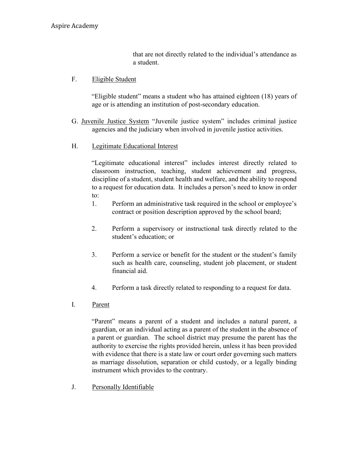that are not directly related to the individual's attendance as a student.

## F. Eligible Student

"Eligible student" means a student who has attained eighteen (18) years of age or is attending an institution of post-secondary education.

- G. Juvenile Justice System "Juvenile justice system" includes criminal justice agencies and the judiciary when involved in juvenile justice activities.
- H. Legitimate Educational Interest

"Legitimate educational interest" includes interest directly related to classroom instruction, teaching, student achievement and progress, discipline of a student, student health and welfare, and the ability to respond to a request for education data. It includes a person's need to know in order to:

- 1. Perform an administrative task required in the school or employee's contract or position description approved by the school board;
- 2. Perform a supervisory or instructional task directly related to the student's education; or
- 3. Perform a service or benefit for the student or the student's family such as health care, counseling, student job placement, or student financial aid.
- 4. Perform a task directly related to responding to a request for data.
- I. Parent

"Parent" means a parent of a student and includes a natural parent, a guardian, or an individual acting as a parent of the student in the absence of a parent or guardian. The school district may presume the parent has the authority to exercise the rights provided herein, unless it has been provided with evidence that there is a state law or court order governing such matters as marriage dissolution, separation or child custody, or a legally binding instrument which provides to the contrary.

J. Personally Identifiable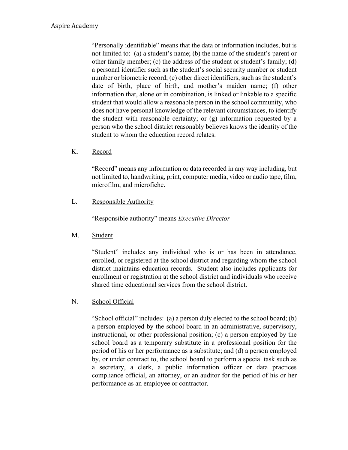"Personally identifiable" means that the data or information includes, but is not limited to: (a) a student's name; (b) the name of the student's parent or other family member; (c) the address of the student or student's family; (d) a personal identifier such as the student's social security number or student number or biometric record; (e) other direct identifiers, such as the student's date of birth, place of birth, and mother's maiden name; (f) other information that, alone or in combination, is linked or linkable to a specific student that would allow a reasonable person in the school community, who does not have personal knowledge of the relevant circumstances, to identify the student with reasonable certainty; or (g) information requested by a person who the school district reasonably believes knows the identity of the student to whom the education record relates.

K. Record

"Record" means any information or data recorded in any way including, but not limited to, handwriting, print, computer media, video or audio tape, film, microfilm, and microfiche.

L. Responsible Authority

"Responsible authority" means *Executive Director*

M. Student

"Student" includes any individual who is or has been in attendance, enrolled, or registered at the school district and regarding whom the school district maintains education records. Student also includes applicants for enrollment or registration at the school district and individuals who receive shared time educational services from the school district.

N. School Official

"School official" includes: (a) a person duly elected to the school board; (b) a person employed by the school board in an administrative, supervisory, instructional, or other professional position; (c) a person employed by the school board as a temporary substitute in a professional position for the period of his or her performance as a substitute; and (d) a person employed by, or under contract to, the school board to perform a special task such as a secretary, a clerk, a public information officer or data practices compliance official, an attorney, or an auditor for the period of his or her performance as an employee or contractor.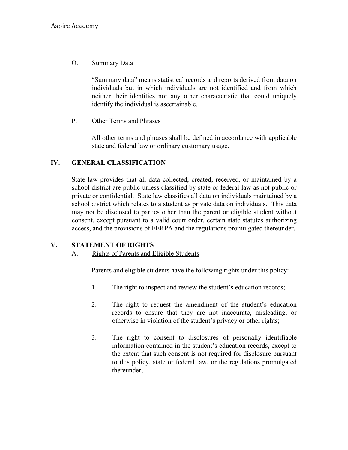# O. Summary Data

"Summary data" means statistical records and reports derived from data on individuals but in which individuals are not identified and from which neither their identities nor any other characteristic that could uniquely identify the individual is ascertainable.

### P. Other Terms and Phrases

All other terms and phrases shall be defined in accordance with applicable state and federal law or ordinary customary usage.

## **IV. GENERAL CLASSIFICATION**

State law provides that all data collected, created, received, or maintained by a school district are public unless classified by state or federal law as not public or private or confidential. State law classifies all data on individuals maintained by a school district which relates to a student as private data on individuals. This data may not be disclosed to parties other than the parent or eligible student without consent, except pursuant to a valid court order, certain state statutes authorizing access, and the provisions of FERPA and the regulations promulgated thereunder.

### **V. STATEMENT OF RIGHTS**

### A. Rights of Parents and Eligible Students

Parents and eligible students have the following rights under this policy:

- 1. The right to inspect and review the student's education records;
- 2. The right to request the amendment of the student's education records to ensure that they are not inaccurate, misleading, or otherwise in violation of the student's privacy or other rights;
- 3. The right to consent to disclosures of personally identifiable information contained in the student's education records, except to the extent that such consent is not required for disclosure pursuant to this policy, state or federal law, or the regulations promulgated thereunder;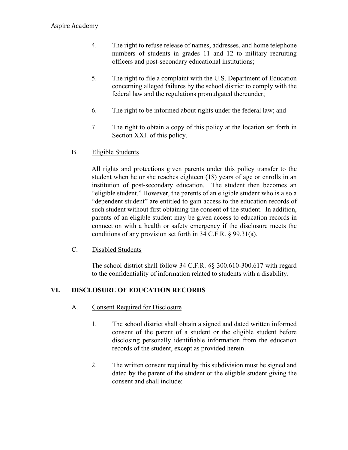- 4. The right to refuse release of names, addresses, and home telephone numbers of students in grades 11 and 12 to military recruiting officers and post-secondary educational institutions;
- 5. The right to file a complaint with the U.S. Department of Education concerning alleged failures by the school district to comply with the federal law and the regulations promulgated thereunder;
- 6. The right to be informed about rights under the federal law; and
- 7. The right to obtain a copy of this policy at the location set forth in Section XXI. of this policy.
- B. Eligible Students

All rights and protections given parents under this policy transfer to the student when he or she reaches eighteen (18) years of age or enrolls in an institution of post-secondary education. The student then becomes an "eligible student." However, the parents of an eligible student who is also a "dependent student" are entitled to gain access to the education records of such student without first obtaining the consent of the student. In addition, parents of an eligible student may be given access to education records in connection with a health or safety emergency if the disclosure meets the conditions of any provision set forth in 34 C.F.R. § 99.31(a).

C. Disabled Students

The school district shall follow 34 C.F.R. §§ 300.610-300.617 with regard to the confidentiality of information related to students with a disability.

# **VI. DISCLOSURE OF EDUCATION RECORDS**

- A. Consent Required for Disclosure
	- 1. The school district shall obtain a signed and dated written informed consent of the parent of a student or the eligible student before disclosing personally identifiable information from the education records of the student, except as provided herein.
	- 2. The written consent required by this subdivision must be signed and dated by the parent of the student or the eligible student giving the consent and shall include: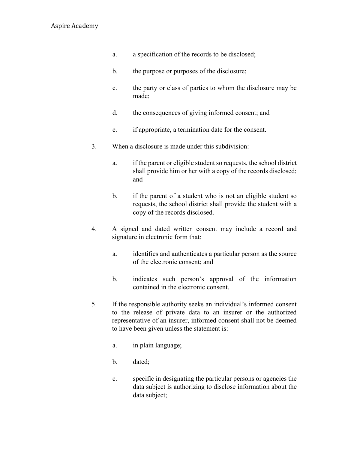- a. a specification of the records to be disclosed;
- b. the purpose or purposes of the disclosure;
- c. the party or class of parties to whom the disclosure may be made;
- d. the consequences of giving informed consent; and
- e. if appropriate, a termination date for the consent.
- 3. When a disclosure is made under this subdivision:
	- a. if the parent or eligible student so requests, the school district shall provide him or her with a copy of the records disclosed; and
	- b. if the parent of a student who is not an eligible student so requests, the school district shall provide the student with a copy of the records disclosed.
- 4. A signed and dated written consent may include a record and signature in electronic form that:
	- a. identifies and authenticates a particular person as the source of the electronic consent; and
	- b. indicates such person's approval of the information contained in the electronic consent.
- 5. If the responsible authority seeks an individual's informed consent to the release of private data to an insurer or the authorized representative of an insurer, informed consent shall not be deemed to have been given unless the statement is:
	- a. in plain language;
	- b. dated;
	- c. specific in designating the particular persons or agencies the data subject is authorizing to disclose information about the data subject;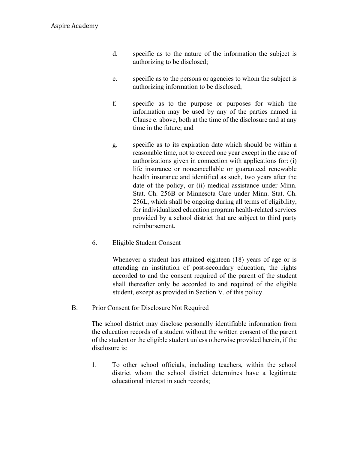- d. specific as to the nature of the information the subject is authorizing to be disclosed;
- e. specific as to the persons or agencies to whom the subject is authorizing information to be disclosed;
- f. specific as to the purpose or purposes for which the information may be used by any of the parties named in Clause e. above, both at the time of the disclosure and at any time in the future; and
- g. specific as to its expiration date which should be within a reasonable time, not to exceed one year except in the case of authorizations given in connection with applications for: (i) life insurance or noncancellable or guaranteed renewable health insurance and identified as such, two years after the date of the policy, or (ii) medical assistance under Minn. Stat. Ch. 256B or Minnesota Care under Minn. Stat. Ch. 256L, which shall be ongoing during all terms of eligibility, for individualized education program health-related services provided by a school district that are subject to third party reimbursement.

# 6. Eligible Student Consent

Whenever a student has attained eighteen (18) years of age or is attending an institution of post-secondary education, the rights accorded to and the consent required of the parent of the student shall thereafter only be accorded to and required of the eligible student, except as provided in Section V. of this policy.

# B. Prior Consent for Disclosure Not Required

The school district may disclose personally identifiable information from the education records of a student without the written consent of the parent of the student or the eligible student unless otherwise provided herein, if the disclosure is:

1. To other school officials, including teachers, within the school district whom the school district determines have a legitimate educational interest in such records;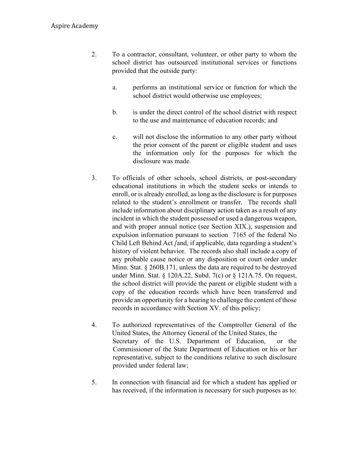- 2. To a contractor, consultant, volunteer, or other party to whom the school district has outsourced institutional services or functions provided that the outside party:
	- a. performs an institutional service or function for which the school district would otherwise use employees;
	- b. is under the direct control of the school district with respect to the use and maintenance of education records; and
	- c. will not disclose the information to any other party without the prior consent of the parent or eligible student and uses the information only for the purposes for which the disclosure was made.
- 3. To officials of other schools, school districts, or post-secondary educational institutions in which the student seeks or intends to enroll, or is already enrolled, as long as the disclosure is for purposes related to the student's enrollment or transfer. The records shall include information about disciplinary action taken as a result of any incident in which the student possessed or used a dangerous weapon, and with proper annual notice (see Section XIX.), suspension and expulsion information pursuant to section 7165 of the federal No Child Left Behind Act *[*and, if applicable, data regarding a student's history of violent behavior. The records also shall include a copy of any probable cause notice or any disposition or court order under Minn. Stat. § 260B.171, unless the data are required to be destroyed under Minn. Stat. § 120A.22, Subd. 7(c) or § 121A.75. On request, the school district will provide the parent or eligible student with a copy of the education records which have been transferred and provide an opportunity for a hearing to challenge the content of those records in accordance with Section XV. of this policy;
- 4. To authorized representatives of the Comptroller General of the United States, the Attorney General of the United States, the Secretary of the U.S. Department of Education, or the Commissioner of the State Department of Education or his or her representative, subject to the conditions relative to such disclosure provided under federal law;
- 5. In connection with financial aid for which a student has applied or has received, if the information is necessary for such purposes as to: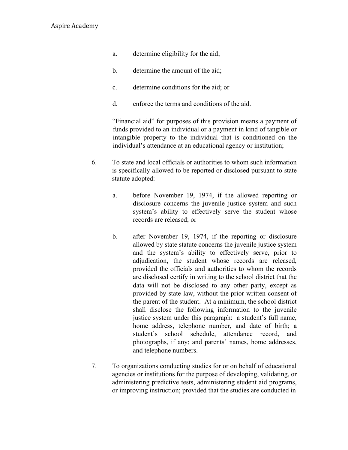- a. determine eligibility for the aid;
- b. determine the amount of the aid;
- c. determine conditions for the aid; or
- d. enforce the terms and conditions of the aid.

"Financial aid" for purposes of this provision means a payment of funds provided to an individual or a payment in kind of tangible or intangible property to the individual that is conditioned on the individual's attendance at an educational agency or institution;

- 6. To state and local officials or authorities to whom such information is specifically allowed to be reported or disclosed pursuant to state statute adopted:
	- a. before November 19, 1974, if the allowed reporting or disclosure concerns the juvenile justice system and such system's ability to effectively serve the student whose records are released; or
	- b. after November 19, 1974, if the reporting or disclosure allowed by state statute concerns the juvenile justice system and the system's ability to effectively serve, prior to adjudication, the student whose records are released, provided the officials and authorities to whom the records are disclosed certify in writing to the school district that the data will not be disclosed to any other party, except as provided by state law, without the prior written consent of the parent of the student. At a minimum, the school district shall disclose the following information to the juvenile justice system under this paragraph: a student's full name, home address, telephone number, and date of birth; a student's school schedule, attendance record, and photographs, if any; and parents' names, home addresses, and telephone numbers.
- 7. To organizations conducting studies for or on behalf of educational agencies or institutions for the purpose of developing, validating, or administering predictive tests, administering student aid programs, or improving instruction; provided that the studies are conducted in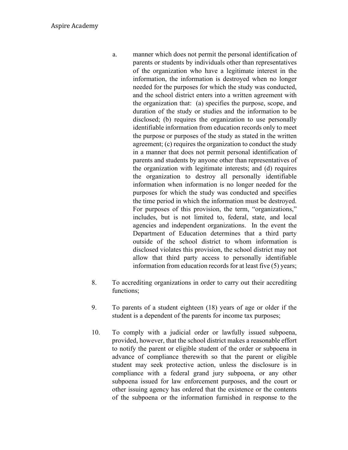- a. manner which does not permit the personal identification of parents or students by individuals other than representatives of the organization who have a legitimate interest in the information, the information is destroyed when no longer needed for the purposes for which the study was conducted, and the school district enters into a written agreement with the organization that: (a) specifies the purpose, scope, and duration of the study or studies and the information to be disclosed; (b) requires the organization to use personally identifiable information from education records only to meet the purpose or purposes of the study as stated in the written agreement; (c) requires the organization to conduct the study in a manner that does not permit personal identification of parents and students by anyone other than representatives of the organization with legitimate interests; and (d) requires the organization to destroy all personally identifiable information when information is no longer needed for the purposes for which the study was conducted and specifies the time period in which the information must be destroyed. For purposes of this provision, the term, "organizations," includes, but is not limited to, federal, state, and local agencies and independent organizations. In the event the Department of Education determines that a third party outside of the school district to whom information is disclosed violates this provision, the school district may not allow that third party access to personally identifiable information from education records for at least five (5) years;
- 8. To accrediting organizations in order to carry out their accrediting functions;
- 9. To parents of a student eighteen (18) years of age or older if the student is a dependent of the parents for income tax purposes;
- 10. To comply with a judicial order or lawfully issued subpoena, provided, however, that the school district makes a reasonable effort to notify the parent or eligible student of the order or subpoena in advance of compliance therewith so that the parent or eligible student may seek protective action, unless the disclosure is in compliance with a federal grand jury subpoena, or any other subpoena issued for law enforcement purposes, and the court or other issuing agency has ordered that the existence or the contents of the subpoena or the information furnished in response to the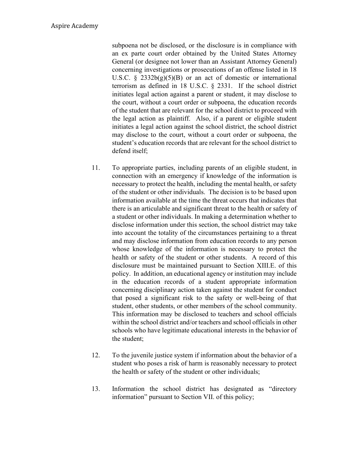subpoena not be disclosed, or the disclosure is in compliance with an ex parte court order obtained by the United States Attorney General (or designee not lower than an Assistant Attorney General) concerning investigations or prosecutions of an offense listed in 18 U.S.C.  $\S$  2332b(g)(5)(B) or an act of domestic or international terrorism as defined in 18 U.S.C. § 2331. If the school district initiates legal action against a parent or student, it may disclose to the court, without a court order or subpoena, the education records of the student that are relevant for the school district to proceed with the legal action as plaintiff. Also, if a parent or eligible student initiates a legal action against the school district, the school district may disclose to the court, without a court order or subpoena, the student's education records that are relevant for the school district to defend itself;

- 11. To appropriate parties, including parents of an eligible student, in connection with an emergency if knowledge of the information is necessary to protect the health, including the mental health, or safety of the student or other individuals. The decision is to be based upon information available at the time the threat occurs that indicates that there is an articulable and significant threat to the health or safety of a student or other individuals. In making a determination whether to disclose information under this section, the school district may take into account the totality of the circumstances pertaining to a threat and may disclose information from education records to any person whose knowledge of the information is necessary to protect the health or safety of the student or other students. A record of this disclosure must be maintained pursuant to Section XIII.E. of this policy. In addition, an educational agency or institution may include in the education records of a student appropriate information concerning disciplinary action taken against the student for conduct that posed a significant risk to the safety or well-being of that student, other students, or other members of the school community. This information may be disclosed to teachers and school officials within the school district and/or teachers and school officials in other schools who have legitimate educational interests in the behavior of the student;
- 12. To the juvenile justice system if information about the behavior of a student who poses a risk of harm is reasonably necessary to protect the health or safety of the student or other individuals;
- 13. Information the school district has designated as "directory information" pursuant to Section VII. of this policy;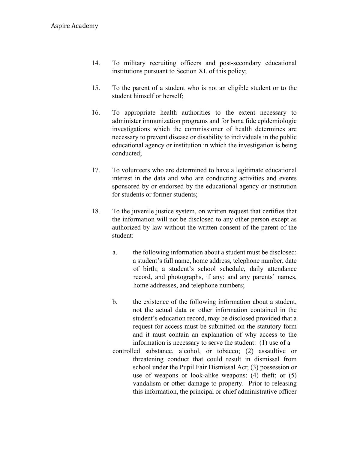- 14. To military recruiting officers and post-secondary educational institutions pursuant to Section XI. of this policy;
- 15. To the parent of a student who is not an eligible student or to the student himself or herself;
- 16. To appropriate health authorities to the extent necessary to administer immunization programs and for bona fide epidemiologic investigations which the commissioner of health determines are necessary to prevent disease or disability to individuals in the public educational agency or institution in which the investigation is being conducted;
- 17. To volunteers who are determined to have a legitimate educational interest in the data and who are conducting activities and events sponsored by or endorsed by the educational agency or institution for students or former students;
- 18. To the juvenile justice system, on written request that certifies that the information will not be disclosed to any other person except as authorized by law without the written consent of the parent of the student:
	- a. the following information about a student must be disclosed: a student's full name, home address, telephone number, date of birth; a student's school schedule, daily attendance record, and photographs, if any; and any parents' names, home addresses, and telephone numbers;
	- b. the existence of the following information about a student, not the actual data or other information contained in the student's education record, may be disclosed provided that a request for access must be submitted on the statutory form and it must contain an explanation of why access to the information is necessary to serve the student: (1) use of a
	- controlled substance, alcohol, or tobacco; (2) assaultive or threatening conduct that could result in dismissal from school under the Pupil Fair Dismissal Act; (3) possession or use of weapons or look-alike weapons; (4) theft; or (5) vandalism or other damage to property. Prior to releasing this information, the principal or chief administrative officer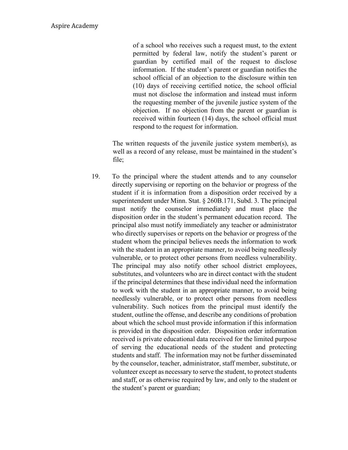of a school who receives such a request must, to the extent permitted by federal law, notify the student's parent or guardian by certified mail of the request to disclose information. If the student's parent or guardian notifies the school official of an objection to the disclosure within ten (10) days of receiving certified notice, the school official must not disclose the information and instead must inform the requesting member of the juvenile justice system of the objection. If no objection from the parent or guardian is received within fourteen (14) days, the school official must respond to the request for information.

The written requests of the juvenile justice system member(s), as well as a record of any release, must be maintained in the student's file;

19. To the principal where the student attends and to any counselor directly supervising or reporting on the behavior or progress of the student if it is information from a disposition order received by a superintendent under Minn. Stat. § 260B.171, Subd. 3. The principal must notify the counselor immediately and must place the disposition order in the student's permanent education record. The principal also must notify immediately any teacher or administrator who directly supervises or reports on the behavior or progress of the student whom the principal believes needs the information to work with the student in an appropriate manner, to avoid being needlessly vulnerable, or to protect other persons from needless vulnerability. The principal may also notify other school district employees, substitutes, and volunteers who are in direct contact with the student if the principal determines that these individual need the information to work with the student in an appropriate manner, to avoid being needlessly vulnerable, or to protect other persons from needless vulnerability. Such notices from the principal must identify the student, outline the offense, and describe any conditions of probation about which the school must provide information if this information is provided in the disposition order. Disposition order information received is private educational data received for the limited purpose of serving the educational needs of the student and protecting students and staff. The information may not be further disseminated by the counselor, teacher, administrator, staff member, substitute, or volunteer except as necessary to serve the student, to protect students and staff, or as otherwise required by law, and only to the student or the student's parent or guardian;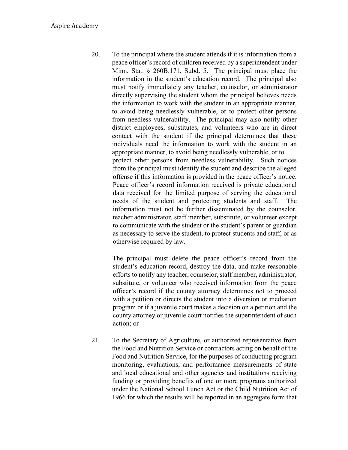20. To the principal where the student attends if it is information from a peace officer's record of children received by a superintendent under Minn. Stat. § 260B.171, Subd. 5. The principal must place the information in the student's education record. The principal also must notify immediately any teacher, counselor, or administrator directly supervising the student whom the principal believes needs the information to work with the student in an appropriate manner, to avoid being needlessly vulnerable, or to protect other persons from needless vulnerability. The principal may also notify other district employees, substitutes, and volunteers who are in direct contact with the student if the principal determines that these individuals need the information to work with the student in an appropriate manner, to avoid being needlessly vulnerable, or to protect other persons from needless vulnerability. Such notices from the principal must identify the student and describe the alleged offense if this information is provided in the peace officer's notice. Peace officer's record information received is private educational data received for the limited purpose of serving the educational needs of the student and protecting students and staff. The information must not be further disseminated by the counselor, teacher administrator, staff member, substitute, or volunteer except to communicate with the student or the student's parent or guardian as necessary to serve the student, to protect students and staff, or as otherwise required by law.

> The principal must delete the peace officer's record from the student's education record, destroy the data, and make reasonable efforts to notify any teacher, counselor, staff member, administrator, substitute, or volunteer who received information from the peace officer's record if the county attorney determines not to proceed with a petition or directs the student into a diversion or mediation program or if a juvenile court makes a decision on a petition and the county attorney or juvenile court notifies the superintendent of such action; or

21. To the Secretary of Agriculture, or authorized representative from the Food and Nutrition Service or contractors acting on behalf of the Food and Nutrition Service, for the purposes of conducting program monitoring, evaluations, and performance measurements of state and local educational and other agencies and institutions receiving funding or providing benefits of one or more programs authorized under the National School Lunch Act or the Child Nutrition Act of 1966 for which the results will be reported in an aggregate form that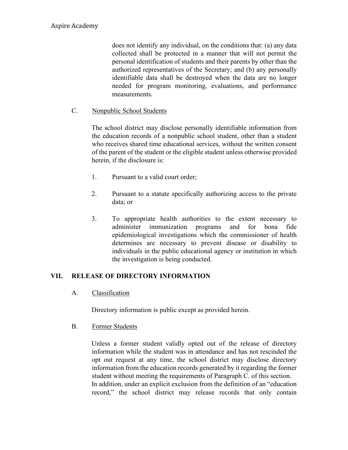does not identify any individual, on the conditions that: (a) any data collected shall be protected in a manner that will not permit the personal identification of students and their parents by other than the authorized representatives of the Secretary; and (b) any personally identifiable data shall be destroyed when the data are no longer needed for program monitoring, evaluations, and performance measurements.

# C. Nonpublic School Students

The school district may disclose personally identifiable information from the education records of a nonpublic school student, other than a student who receives shared time educational services, without the written consent of the parent of the student or the eligible student unless otherwise provided herein, if the disclosure is:

- 1. Pursuant to a valid court order;
- 2. Pursuant to a statute specifically authorizing access to the private data; or
- 3. To appropriate health authorities to the extent necessary to administer immunization programs and for bona fide epidemiological investigations which the commissioner of health determines are necessary to prevent disease or disability to individuals in the public educational agency or institution in which the investigation is being conducted.

# **VII. RELEASE OF DIRECTORY INFORMATION**

# A. Classification

Directory information is public except as provided herein.

# B. Former Students

Unless a former student validly opted out of the release of directory information while the student was in attendance and has not rescinded the opt out request at any time, the school district may disclose directory information from the education records generated by it regarding the former student without meeting the requirements of Paragraph C. of this section. In addition, under an explicit exclusion from the definition of an "education record," the school district may release records that only contain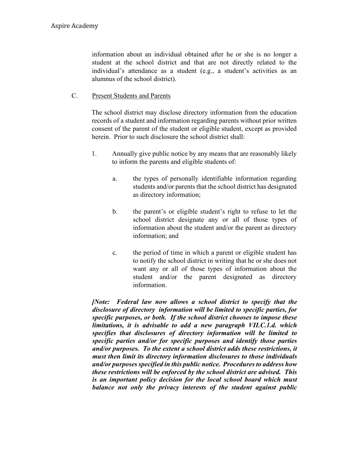information about an individual obtained after he or she is no longer a student at the school district and that are not directly related to the individual's attendance as a student (e.g., a student's activities as an alumnus of the school district).

C. Present Students and Parents

The school district may disclose directory information from the education records of a student and information regarding parents without prior written consent of the parent of the student or eligible student, except as provided herein. Prior to such disclosure the school district shall:

- 1. Annually give public notice by any means that are reasonably likely to inform the parents and eligible students of:
	- a. the types of personally identifiable information regarding students and/or parents that the school district has designated as directory information;
	- b. the parent's or eligible student's right to refuse to let the school district designate any or all of those types of information about the student and/or the parent as directory information; and
	- c. the period of time in which a parent or eligible student has to notify the school district in writing that he or she does not want any or all of those types of information about the student and/or the parent designated as directory information.

*[Note: Federal law now allows a school district to specify that the disclosure of directory information will be limited to specific parties, for specific purposes, or both. If the school district chooses to impose these limitations, it is advisable to add a new paragraph VII.C.1.d. which specifies that disclosures of directory information will be limited to specific parties and/or for specific purposes and identify those parties and/or purposes. To the extent a school district adds these restrictions, it must then limit its directory information disclosures to those individuals and/or purposes specified in this public notice. Procedures to address how these restrictions will be enforced by the school district are advised. This is an important policy decision for the local school board which must balance not only the privacy interests of the student against public*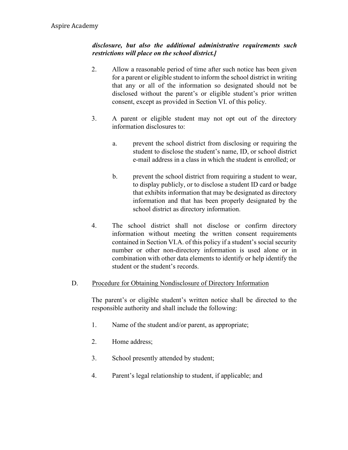## *disclosure, but also the additional administrative requirements such restrictions will place on the school district.]*

- 2. Allow a reasonable period of time after such notice has been given for a parent or eligible student to inform the school district in writing that any or all of the information so designated should not be disclosed without the parent's or eligible student's prior written consent, except as provided in Section VI. of this policy.
- 3. A parent or eligible student may not opt out of the directory information disclosures to:
	- a. prevent the school district from disclosing or requiring the student to disclose the student's name, ID, or school district e-mail address in a class in which the student is enrolled; or
	- b. prevent the school district from requiring a student to wear, to display publicly, or to disclose a student ID card or badge that exhibits information that may be designated as directory information and that has been properly designated by the school district as directory information.
- 4. The school district shall not disclose or confirm directory information without meeting the written consent requirements contained in Section VI.A. of this policy if a student's social security number or other non-directory information is used alone or in combination with other data elements to identify or help identify the student or the student's records.

# D. Procedure for Obtaining Nondisclosure of Directory Information

The parent's or eligible student's written notice shall be directed to the responsible authority and shall include the following:

- 1. Name of the student and/or parent, as appropriate;
- 2. Home address;
- 3. School presently attended by student;
- 4. Parent's legal relationship to student, if applicable; and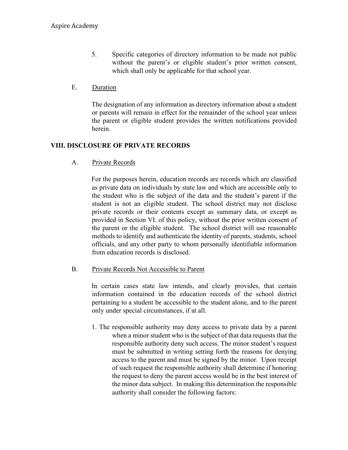- 5. Specific categories of directory information to be made not public without the parent's or eligible student's prior written consent, which shall only be applicable for that school year.
- E. Duration

The designation of any information as directory information about a student or parents will remain in effect for the remainder of the school year unless the parent or eligible student provides the written notifications provided herein.

## **VIII. DISCLOSURE OF PRIVATE RECORDS**

A. Private Records

For the purposes herein, education records are records which are classified as private data on individuals by state law and which are accessible only to the student who is the subject of the data and the student's parent if the student is not an eligible student. The school district may not disclose private records or their contents except as summary data, or except as provided in Section VI. of this policy, without the prior written consent of the parent or the eligible student. The school district will use reasonable methods to identify and authenticate the identity of parents, students, school officials, and any other party to whom personally identifiable information from education records is disclosed.

### B. Private Records Not Accessible to Parent

In certain cases state law intends, and clearly provides, that certain information contained in the education records of the school district pertaining to a student be accessible to the student alone, and to the parent only under special circumstances, if at all.

1. The responsible authority may deny access to private data by a parent when a minor student who is the subject of that data requests that the responsible authority deny such access. The minor student's request must be submitted in writing setting forth the reasons for denying access to the parent and must be signed by the minor. Upon receipt of such request the responsible authority shall determine if honoring the request to deny the parent access would be in the best interest of the minor data subject. In making this determination the responsible authority shall consider the following factors: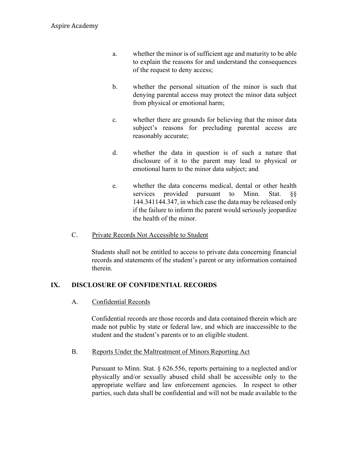- a. whether the minor is of sufficient age and maturity to be able to explain the reasons for and understand the consequences of the request to deny access;
- b. whether the personal situation of the minor is such that denying parental access may protect the minor data subject from physical or emotional harm;
- c. whether there are grounds for believing that the minor data subject's reasons for precluding parental access are reasonably accurate;
- d. whether the data in question is of such a nature that disclosure of it to the parent may lead to physical or emotional harm to the minor data subject; and
- e. whether the data concerns medical, dental or other health services provided pursuant to Minn. Stat. §§ 144.341144.347, in which case the data may be released only if the failure to inform the parent would seriously jeopardize the health of the minor.

### C. Private Records Not Accessible to Student

Students shall not be entitled to access to private data concerning financial records and statements of the student's parent or any information contained therein.

# **IX. DISCLOSURE OF CONFIDENTIAL RECORDS**

A. Confidential Records

Confidential records are those records and data contained therein which are made not public by state or federal law, and which are inaccessible to the student and the student's parents or to an eligible student.

### B. Reports Under the Maltreatment of Minors Reporting Act

Pursuant to Minn. Stat. § 626.556, reports pertaining to a neglected and/or physically and/or sexually abused child shall be accessible only to the appropriate welfare and law enforcement agencies. In respect to other parties, such data shall be confidential and will not be made available to the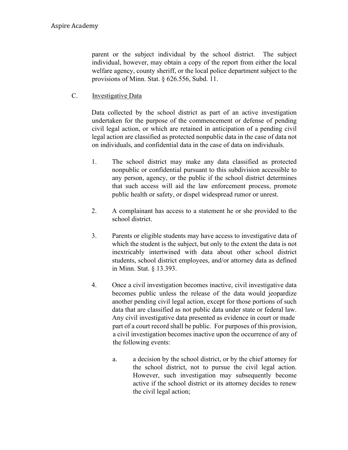parent or the subject individual by the school district. The subject individual, however, may obtain a copy of the report from either the local welfare agency, county sheriff, or the local police department subject to the provisions of Minn. Stat. § 626.556, Subd. 11.

C. Investigative Data

Data collected by the school district as part of an active investigation undertaken for the purpose of the commencement or defense of pending civil legal action, or which are retained in anticipation of a pending civil legal action are classified as protected nonpublic data in the case of data not on individuals, and confidential data in the case of data on individuals.

- 1. The school district may make any data classified as protected nonpublic or confidential pursuant to this subdivision accessible to any person, agency, or the public if the school district determines that such access will aid the law enforcement process, promote public health or safety, or dispel widespread rumor or unrest.
- 2. A complainant has access to a statement he or she provided to the school district.
- 3. Parents or eligible students may have access to investigative data of which the student is the subject, but only to the extent the data is not inextricably intertwined with data about other school district students, school district employees, and/or attorney data as defined in Minn. Stat. § 13.393.
- 4. Once a civil investigation becomes inactive, civil investigative data becomes public unless the release of the data would jeopardize another pending civil legal action, except for those portions of such data that are classified as not public data under state or federal law. Any civil investigative data presented as evidence in court or made part of a court record shall be public. For purposes of this provision, a civil investigation becomes inactive upon the occurrence of any of the following events:
	- a. a decision by the school district, or by the chief attorney for the school district, not to pursue the civil legal action. However, such investigation may subsequently become active if the school district or its attorney decides to renew the civil legal action;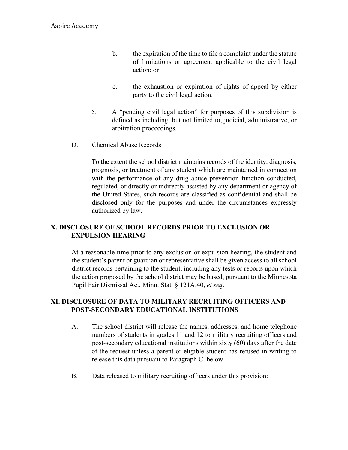- b. the expiration of the time to file a complaint under the statute of limitations or agreement applicable to the civil legal action; or
- c. the exhaustion or expiration of rights of appeal by either party to the civil legal action.
- 5. A "pending civil legal action" for purposes of this subdivision is defined as including, but not limited to, judicial, administrative, or arbitration proceedings.
- D. Chemical Abuse Records

To the extent the school district maintains records of the identity, diagnosis, prognosis, or treatment of any student which are maintained in connection with the performance of any drug abuse prevention function conducted, regulated, or directly or indirectly assisted by any department or agency of the United States, such records are classified as confidential and shall be disclosed only for the purposes and under the circumstances expressly authorized by law.

# **X. DISCLOSURE OF SCHOOL RECORDS PRIOR TO EXCLUSION OR EXPULSION HEARING**

At a reasonable time prior to any exclusion or expulsion hearing, the student and the student's parent or guardian or representative shall be given access to all school district records pertaining to the student, including any tests or reports upon which the action proposed by the school district may be based, pursuant to the Minnesota Pupil Fair Dismissal Act, Minn. Stat. § 121A.40, *et seq*.

## **XI. DISCLOSURE OF DATA TO MILITARY RECRUITING OFFICERS AND POST-SECONDARY EDUCATIONAL INSTITUTIONS**

- A. The school district will release the names, addresses, and home telephone numbers of students in grades 11 and 12 to military recruiting officers and post-secondary educational institutions within sixty (60) days after the date of the request unless a parent or eligible student has refused in writing to release this data pursuant to Paragraph C. below.
- B. Data released to military recruiting officers under this provision: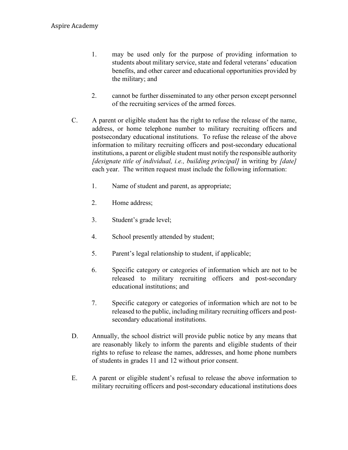- 1. may be used only for the purpose of providing information to students about military service, state and federal veterans' education benefits, and other career and educational opportunities provided by the military; and
- 2. cannot be further disseminated to any other person except personnel of the recruiting services of the armed forces.
- C. A parent or eligible student has the right to refuse the release of the name, address, or home telephone number to military recruiting officers and postsecondary educational institutions. To refuse the release of the above information to military recruiting officers and post-secondary educational institutions, a parent or eligible student must notify the responsible authority *[designate title of individual, i.e., building principal]* in writing by *[date]* each year. The written request must include the following information:
	- 1. Name of student and parent, as appropriate;
	- 2. Home address;
	- 3. Student's grade level;
	- 4. School presently attended by student;
	- 5. Parent's legal relationship to student, if applicable;
	- 6. Specific category or categories of information which are not to be released to military recruiting officers and post-secondary educational institutions; and
	- 7. Specific category or categories of information which are not to be released to the public, including military recruiting officers and postsecondary educational institutions.
- D. Annually, the school district will provide public notice by any means that are reasonably likely to inform the parents and eligible students of their rights to refuse to release the names, addresses, and home phone numbers of students in grades 11 and 12 without prior consent.
- E. A parent or eligible student's refusal to release the above information to military recruiting officers and post-secondary educational institutions does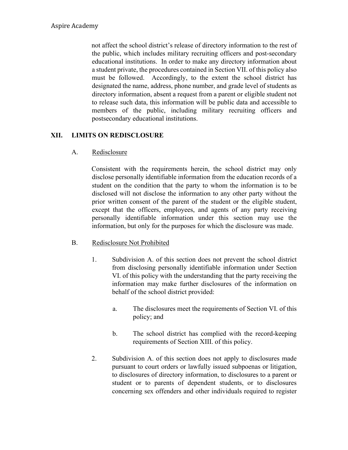not affect the school district's release of directory information to the rest of the public, which includes military recruiting officers and post-secondary educational institutions. In order to make any directory information about a student private, the procedures contained in Section VII. of this policy also must be followed. Accordingly, to the extent the school district has designated the name, address, phone number, and grade level of students as directory information, absent a request from a parent or eligible student not to release such data, this information will be public data and accessible to members of the public, including military recruiting officers and postsecondary educational institutions.

## **XII. LIMITS ON REDISCLOSURE**

A. Redisclosure

Consistent with the requirements herein, the school district may only disclose personally identifiable information from the education records of a student on the condition that the party to whom the information is to be disclosed will not disclose the information to any other party without the prior written consent of the parent of the student or the eligible student, except that the officers, employees, and agents of any party receiving personally identifiable information under this section may use the information, but only for the purposes for which the disclosure was made.

### B. Redisclosure Not Prohibited

- 1. Subdivision A. of this section does not prevent the school district from disclosing personally identifiable information under Section VI. of this policy with the understanding that the party receiving the information may make further disclosures of the information on behalf of the school district provided:
	- a. The disclosures meet the requirements of Section VI. of this policy; and
	- b. The school district has complied with the record-keeping requirements of Section XIII. of this policy.
- 2. Subdivision A. of this section does not apply to disclosures made pursuant to court orders or lawfully issued subpoenas or litigation, to disclosures of directory information, to disclosures to a parent or student or to parents of dependent students, or to disclosures concerning sex offenders and other individuals required to register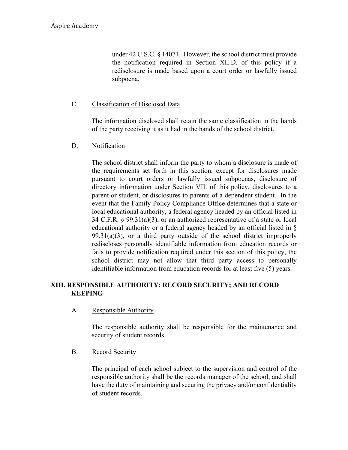under 42 U.S.C. § 14071. However, the school district must provide the notification required in Section XII.D. of this policy if a redisclosure is made based upon a court order or lawfully issued subpoena.

## C. Classification of Disclosed Data

The information disclosed shall retain the same classification in the hands of the party receiving it as it had in the hands of the school district.

## D. Notification

The school district shall inform the party to whom a disclosure is made of the requirements set forth in this section, except for disclosures made pursuant to court orders or lawfully issued subpoenas, disclosure of directory information under Section VII. of this policy, disclosures to a parent or student, or disclosures to parents of a dependent student. In the event that the Family Policy Compliance Office determines that a state or local educational authority, a federal agency headed by an official listed in 34 C.F.R. § 99.31(a)(3), or an authorized representative of a state or local educational authority or a federal agency headed by an official listed in §  $99.31(a)(3)$ , or a third party outside of the school district improperly rediscloses personally identifiable information from education records or fails to provide notification required under this section of this policy, the school district may not allow that third party access to personally identifiable information from education records for at least five (5) years.

## **XIII. RESPONSIBLE AUTHORITY; RECORD SECURITY; AND RECORD KEEPING**

A. Responsible Authority

The responsible authority shall be responsible for the maintenance and security of student records.

B. Record Security

The principal of each school subject to the supervision and control of the responsible authority shall be the records manager of the school, and shall have the duty of maintaining and securing the privacy and/or confidentiality of student records.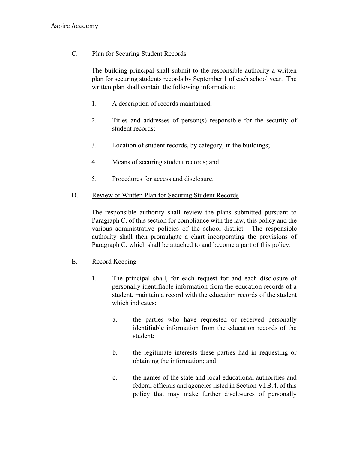# C. Plan for Securing Student Records

The building principal shall submit to the responsible authority a written plan for securing students records by September 1 of each school year. The written plan shall contain the following information:

- 1. A description of records maintained;
- 2. Titles and addresses of person(s) responsible for the security of student records;
- 3. Location of student records, by category, in the buildings;
- 4. Means of securing student records; and
- 5. Procedures for access and disclosure.

## D. Review of Written Plan for Securing Student Records

The responsible authority shall review the plans submitted pursuant to Paragraph C. of this section for compliance with the law, this policy and the various administrative policies of the school district. The responsible authority shall then promulgate a chart incorporating the provisions of Paragraph C. which shall be attached to and become a part of this policy.

### E. Record Keeping

- 1. The principal shall, for each request for and each disclosure of personally identifiable information from the education records of a student, maintain a record with the education records of the student which indicates:
	- a. the parties who have requested or received personally identifiable information from the education records of the student;
	- b. the legitimate interests these parties had in requesting or obtaining the information; and
	- c. the names of the state and local educational authorities and federal officials and agencies listed in Section VI.B.4. of this policy that may make further disclosures of personally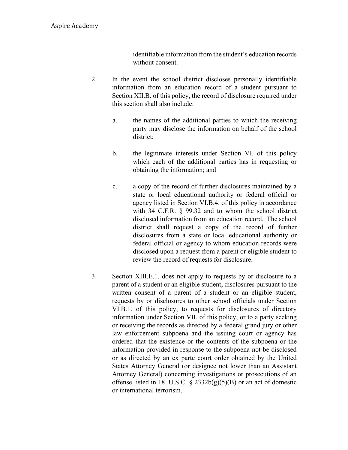identifiable information from the student's education records without consent.

- 2. In the event the school district discloses personally identifiable information from an education record of a student pursuant to Section XII.B. of this policy, the record of disclosure required under this section shall also include:
	- a. the names of the additional parties to which the receiving party may disclose the information on behalf of the school district;
	- b. the legitimate interests under Section VI. of this policy which each of the additional parties has in requesting or obtaining the information; and
	- c. a copy of the record of further disclosures maintained by a state or local educational authority or federal official or agency listed in Section VI.B.4. of this policy in accordance with 34 C.F.R. § 99.32 and to whom the school district disclosed information from an education record. The school district shall request a copy of the record of further disclosures from a state or local educational authority or federal official or agency to whom education records were disclosed upon a request from a parent or eligible student to review the record of requests for disclosure.
- 3. Section XIII.E.1. does not apply to requests by or disclosure to a parent of a student or an eligible student, disclosures pursuant to the written consent of a parent of a student or an eligible student, requests by or disclosures to other school officials under Section VI.B.1. of this policy, to requests for disclosures of directory information under Section VII. of this policy, or to a party seeking or receiving the records as directed by a federal grand jury or other law enforcement subpoena and the issuing court or agency has ordered that the existence or the contents of the subpoena or the information provided in response to the subpoena not be disclosed or as directed by an ex parte court order obtained by the United States Attorney General (or designee not lower than an Assistant Attorney General) concerning investigations or prosecutions of an offense listed in 18. U.S.C.  $\S$  2332b(g)(5)(B) or an act of domestic or international terrorism.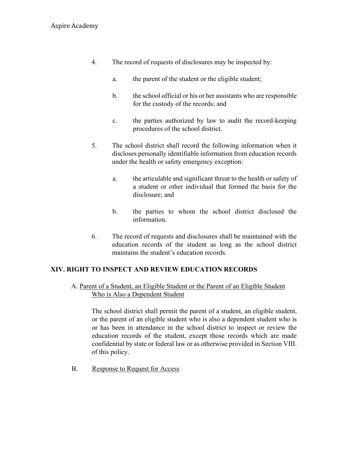- 4. The record of requests of disclosures may be inspected by:
	- a. the parent of the student or the eligible student;
	- b. the school official or his or her assistants who are responsible for the custody of the records; and
	- c. the parties authorized by law to audit the record-keeping procedures of the school district.
- 5. The school district shall record the following information when it discloses personally identifiable information from education records under the health or safety emergency exception:
	- a. the articulable and significant threat to the health or safety of a student or other individual that formed the basis for the disclosure; and
	- b. the parties to whom the school district disclosed the information.
- 6. The record of requests and disclosures shall be maintained with the education records of the student as long as the school district maintains the student's education records.

# **XIV. RIGHT TO INSPECT AND REVIEW EDUCATION RECORDS**

## A. Parent of a Student, an Eligible Student or the Parent of an Eligible Student Who is Also a Dependent Student

The school district shall permit the parent of a student, an eligible student, or the parent of an eligible student who is also a dependent student who is or has been in attendance in the school district to inspect or review the education records of the student, except those records which are made confidential by state or federal law or as otherwise provided in Section VIII. of this policy.

B. Response to Request for Access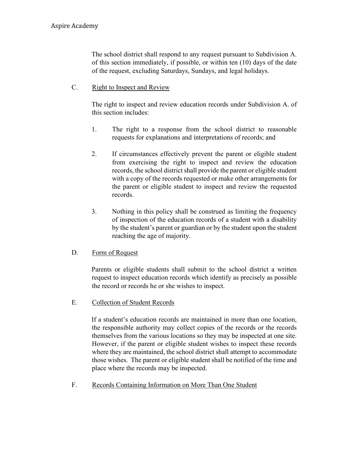The school district shall respond to any request pursuant to Subdivision A. of this section immediately, if possible, or within ten (10) days of the date of the request, excluding Saturdays, Sundays, and legal holidays.

C. Right to Inspect and Review

The right to inspect and review education records under Subdivision A. of this section includes:

- 1. The right to a response from the school district to reasonable requests for explanations and interpretations of records; and
- 2. If circumstances effectively prevent the parent or eligible student from exercising the right to inspect and review the education records, the school district shall provide the parent or eligible student with a copy of the records requested or make other arrangements for the parent or eligible student to inspect and review the requested records.
- 3. Nothing in this policy shall be construed as limiting the frequency of inspection of the education records of a student with a disability by the student's parent or guardian or by the student upon the student reaching the age of majority.

#### D. Form of Request

Parents or eligible students shall submit to the school district a written request to inspect education records which identify as precisely as possible the record or records he or she wishes to inspect.

E. Collection of Student Records

If a student's education records are maintained in more than one location, the responsible authority may collect copies of the records or the records themselves from the various locations so they may be inspected at one site. However, if the parent or eligible student wishes to inspect these records where they are maintained, the school district shall attempt to accommodate those wishes. The parent or eligible student shall be notified of the time and place where the records may be inspected.

F. Records Containing Information on More Than One Student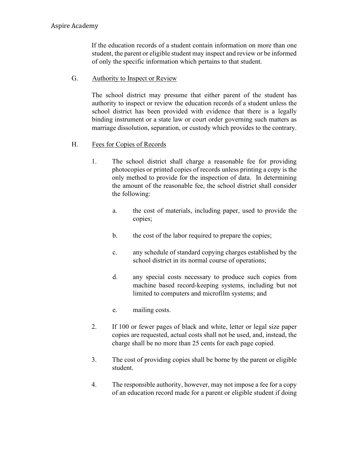### Aspire Academy

If the education records of a student contain information on more than one student, the parent or eligible student may inspect and review or be informed of only the specific information which pertains to that student.

#### G. Authority to Inspect or Review

The school district may presume that either parent of the student has authority to inspect or review the education records of a student unless the school district has been provided with evidence that there is a legally binding instrument or a state law or court order governing such matters as marriage dissolution, separation, or custody which provides to the contrary.

#### H. Fees for Copies of Records

- 1. The school district shall charge a reasonable fee for providing photocopies or printed copies of records unless printing a copy is the only method to provide for the inspection of data. In determining the amount of the reasonable fee, the school district shall consider the following:
	- a. the cost of materials, including paper, used to provide the copies;
	- b. the cost of the labor required to prepare the copies;
	- c. any schedule of standard copying charges established by the school district in its normal course of operations;
	- d. any special costs necessary to produce such copies from machine based record-keeping systems, including but not limited to computers and microfilm systems; and
	- e. mailing costs.
- 2. If 100 or fewer pages of black and white, letter or legal size paper copies are requested, actual costs shall not be used, and, instead, the charge shall be no more than 25 cents for each page copied.
- 3. The cost of providing copies shall be borne by the parent or eligible student.
- 4. The responsible authority, however, may not impose a fee for a copy of an education record made for a parent or eligible student if doing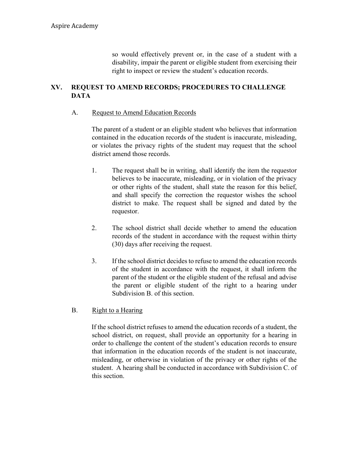so would effectively prevent or, in the case of a student with a disability, impair the parent or eligible student from exercising their right to inspect or review the student's education records.

## **XV. REQUEST TO AMEND RECORDS; PROCEDURES TO CHALLENGE DATA**

### A. Request to Amend Education Records

The parent of a student or an eligible student who believes that information contained in the education records of the student is inaccurate, misleading, or violates the privacy rights of the student may request that the school district amend those records.

- 1. The request shall be in writing, shall identify the item the requestor believes to be inaccurate, misleading, or in violation of the privacy or other rights of the student, shall state the reason for this belief, and shall specify the correction the requestor wishes the school district to make. The request shall be signed and dated by the requestor.
- 2. The school district shall decide whether to amend the education records of the student in accordance with the request within thirty (30) days after receiving the request.
- 3. If the school district decides to refuse to amend the education records of the student in accordance with the request, it shall inform the parent of the student or the eligible student of the refusal and advise the parent or eligible student of the right to a hearing under Subdivision B. of this section.
- B. Right to a Hearing

If the school district refuses to amend the education records of a student, the school district, on request, shall provide an opportunity for a hearing in order to challenge the content of the student's education records to ensure that information in the education records of the student is not inaccurate, misleading, or otherwise in violation of the privacy or other rights of the student. A hearing shall be conducted in accordance with Subdivision C. of this section.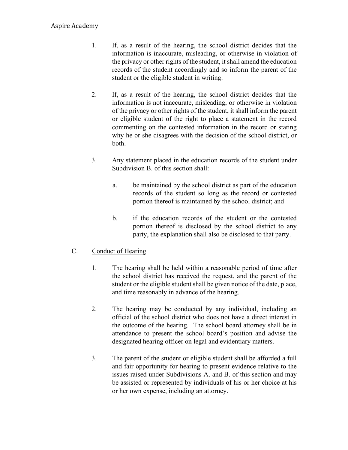## Aspire Academy

- 1. If, as a result of the hearing, the school district decides that the information is inaccurate, misleading, or otherwise in violation of the privacy or other rights of the student, it shall amend the education records of the student accordingly and so inform the parent of the student or the eligible student in writing.
- 2. If, as a result of the hearing, the school district decides that the information is not inaccurate, misleading, or otherwise in violation of the privacy or other rights of the student, it shall inform the parent or eligible student of the right to place a statement in the record commenting on the contested information in the record or stating why he or she disagrees with the decision of the school district, or both.
- 3. Any statement placed in the education records of the student under Subdivision B. of this section shall:
	- a. be maintained by the school district as part of the education records of the student so long as the record or contested portion thereof is maintained by the school district; and
	- b. if the education records of the student or the contested portion thereof is disclosed by the school district to any party, the explanation shall also be disclosed to that party.

### C. Conduct of Hearing

- 1. The hearing shall be held within a reasonable period of time after the school district has received the request, and the parent of the student or the eligible student shall be given notice of the date, place, and time reasonably in advance of the hearing.
- 2. The hearing may be conducted by any individual, including an official of the school district who does not have a direct interest in the outcome of the hearing. The school board attorney shall be in attendance to present the school board's position and advise the designated hearing officer on legal and evidentiary matters.
- 3. The parent of the student or eligible student shall be afforded a full and fair opportunity for hearing to present evidence relative to the issues raised under Subdivisions A. and B. of this section and may be assisted or represented by individuals of his or her choice at his or her own expense, including an attorney.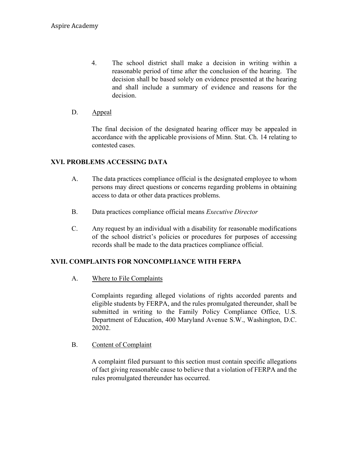- 4. The school district shall make a decision in writing within a reasonable period of time after the conclusion of the hearing. The decision shall be based solely on evidence presented at the hearing and shall include a summary of evidence and reasons for the decision.
- D. Appeal

The final decision of the designated hearing officer may be appealed in accordance with the applicable provisions of Minn. Stat. Ch. 14 relating to contested cases.

### **XVI. PROBLEMS ACCESSING DATA**

- A. The data practices compliance official is the designated employee to whom persons may direct questions or concerns regarding problems in obtaining access to data or other data practices problems.
- B. Data practices compliance official means *Executive Director*
- C. Any request by an individual with a disability for reasonable modifications of the school district's policies or procedures for purposes of accessing records shall be made to the data practices compliance official.

### **XVII. COMPLAINTS FOR NONCOMPLIANCE WITH FERPA**

A. Where to File Complaints

Complaints regarding alleged violations of rights accorded parents and eligible students by FERPA, and the rules promulgated thereunder, shall be submitted in writing to the Family Policy Compliance Office, U.S. Department of Education, 400 Maryland Avenue S.W., Washington, D.C. 20202.

B. Content of Complaint

A complaint filed pursuant to this section must contain specific allegations of fact giving reasonable cause to believe that a violation of FERPA and the rules promulgated thereunder has occurred.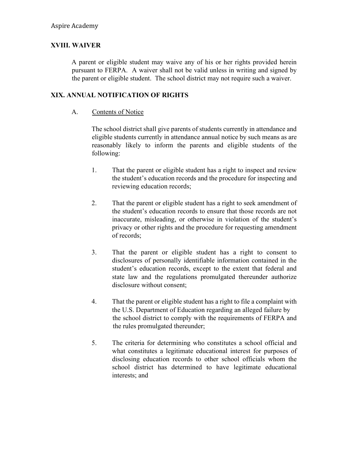# **XVIII. WAIVER**

A parent or eligible student may waive any of his or her rights provided herein pursuant to FERPA. A waiver shall not be valid unless in writing and signed by the parent or eligible student. The school district may not require such a waiver.

# **XIX. ANNUAL NOTIFICATION OF RIGHTS**

#### A. Contents of Notice

The school district shall give parents of students currently in attendance and eligible students currently in attendance annual notice by such means as are reasonably likely to inform the parents and eligible students of the following:

- 1. That the parent or eligible student has a right to inspect and review the student's education records and the procedure for inspecting and reviewing education records;
- 2. That the parent or eligible student has a right to seek amendment of the student's education records to ensure that those records are not inaccurate, misleading, or otherwise in violation of the student's privacy or other rights and the procedure for requesting amendment of records;
- 3. That the parent or eligible student has a right to consent to disclosures of personally identifiable information contained in the student's education records, except to the extent that federal and state law and the regulations promulgated thereunder authorize disclosure without consent;
- 4. That the parent or eligible student has a right to file a complaint with the U.S. Department of Education regarding an alleged failure by the school district to comply with the requirements of FERPA and the rules promulgated thereunder;
- 5. The criteria for determining who constitutes a school official and what constitutes a legitimate educational interest for purposes of disclosing education records to other school officials whom the school district has determined to have legitimate educational interests; and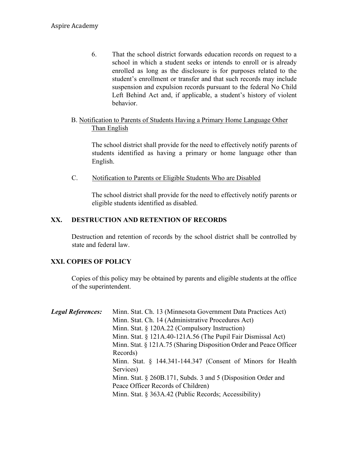- 6. That the school district forwards education records on request to a school in which a student seeks or intends to enroll or is already enrolled as long as the disclosure is for purposes related to the student's enrollment or transfer and that such records may include suspension and expulsion records pursuant to the federal No Child Left Behind Act and, if applicable, a student's history of violent behavior.
- B. Notification to Parents of Students Having a Primary Home Language Other Than English

The school district shall provide for the need to effectively notify parents of students identified as having a primary or home language other than English.

C. Notification to Parents or Eligible Students Who are Disabled

The school district shall provide for the need to effectively notify parents or eligible students identified as disabled.

#### **XX. DESTRUCTION AND RETENTION OF RECORDS**

Destruction and retention of records by the school district shall be controlled by state and federal law.

### **XXI. COPIES OF POLICY**

Copies of this policy may be obtained by parents and eligible students at the office of the superintendent.

| <b>Legal References:</b> | Minn. Stat. Ch. 13 (Minnesota Government Data Practices Act)       |
|--------------------------|--------------------------------------------------------------------|
|                          | Minn. Stat. Ch. 14 (Administrative Procedures Act)                 |
|                          | Minn. Stat. $\S$ 120A.22 (Compulsory Instruction)                  |
|                          | Minn. Stat. § 121A.40-121A.56 (The Pupil Fair Dismissal Act)       |
|                          | Minn. Stat. § 121A.75 (Sharing Disposition Order and Peace Officer |
|                          | Records)                                                           |
|                          | Minn. Stat. $\S$ 144.341-144.347 (Consent of Minors for Health     |
|                          | Services)                                                          |
|                          | Minn. Stat. $\S 260B.171$ , Subds. 3 and 5 (Disposition Order and  |
|                          | Peace Officer Records of Children)                                 |
|                          | Minn. Stat. § 363A.42 (Public Records; Accessibility)              |